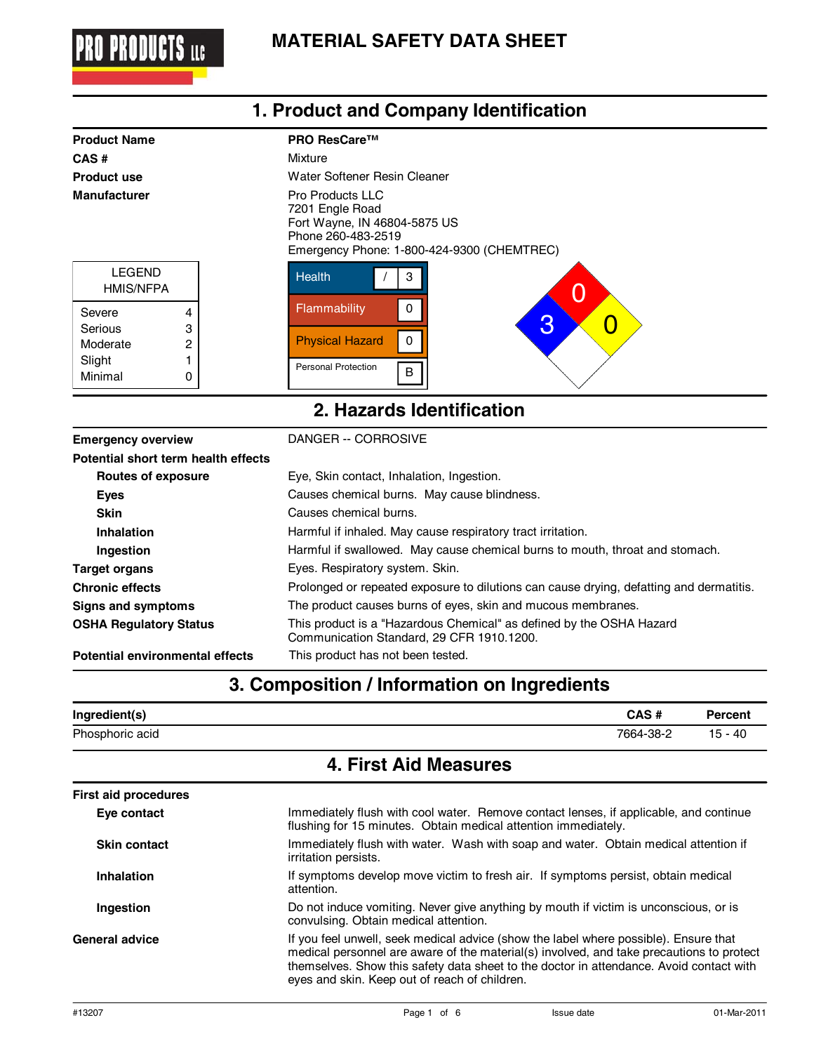

**1. Product and Company Identification**

| <b>Product Name</b>                                |                  | <b>PRO ResCare™</b>                                                                                                                            |
|----------------------------------------------------|------------------|------------------------------------------------------------------------------------------------------------------------------------------------|
| CAS#                                               |                  | Mixture                                                                                                                                        |
| <b>Product use</b>                                 |                  | Water Softener Resin Cleaner                                                                                                                   |
| <b>Manufacturer</b>                                |                  | <b>Pro Products LLC</b><br>7201 Engle Road<br>Fort Wayne, IN 46804-5875 US<br>Phone 260-483-2519<br>Emergency Phone: 1-800-424-9300 (CHEMTREC) |
| <b>LEGEND</b><br><b>HMIS/NFPA</b>                  |                  | <b>Health</b><br>З<br>O                                                                                                                        |
| Severe<br>Serious<br>Moderate<br>Slight<br>Minimal | 4<br>3<br>2<br>0 | Flammability<br>$\mathbf{0}$<br>3<br><b>Physical Hazard</b><br>0<br><b>Personal Protection</b><br>B                                            |
|                                                    |                  | 2. Hazards Identification                                                                                                                      |

#### **Emergency overview CORROSIVE** DANGER -- CORROSIVE **Routes of exposure Potential short term health effects** Eye, Skin contact, Inhalation, Ingestion. **Eyes Exercise Exercise Causes chemical burns.** May cause blindness. **Skin** Causes chemical burns. **Inhalation Harmful if inhaled. May cause respiratory tract irritation. Ingestion Harmful if swallowed.** May cause chemical burns to mouth, throat and stomach. **Target organs Eyes. Respiratory system. Skin. Chronic effects** Prolonged or repeated exposure to dilutions can cause drying, defatting and dermatitis. **Signs and symptoms** The product causes burns of eyes, skin and mucous membranes. **OSHA Regulatory Status** This product is a "Hazardous Chemical" as defined by the OSHA Hazard

**Potential environmental effects** This product has not been tested.

### **3. Composition / Information on Ingredients**

Communication Standard, 29 CFR 1910.1200.

| Ingredient(s)   | CAS#      | <b>Percent</b> |
|-----------------|-----------|----------------|
| Phosphoric acid | 7664-38-2 | $15 - 40$      |

#### **4. First Aid Measures**

| <b>First aid procedures</b> |                                                                                                                                                                                                                                                                                                                              |
|-----------------------------|------------------------------------------------------------------------------------------------------------------------------------------------------------------------------------------------------------------------------------------------------------------------------------------------------------------------------|
| Eye contact                 | Immediately flush with cool water. Remove contact lenses, if applicable, and continue<br>flushing for 15 minutes. Obtain medical attention immediately.                                                                                                                                                                      |
| <b>Skin contact</b>         | Immediately flush with water. Wash with soap and water. Obtain medical attention if<br>irritation persists.                                                                                                                                                                                                                  |
| Inhalation                  | If symptoms develop move victim to fresh air. If symptoms persist, obtain medical<br>attention.                                                                                                                                                                                                                              |
| Ingestion                   | Do not induce vomiting. Never give anything by mouth if victim is unconscious, or is<br>convulsing. Obtain medical attention.                                                                                                                                                                                                |
| General advice              | If you feel unwell, seek medical advice (show the label where possible). Ensure that<br>medical personnel are aware of the material(s) involved, and take precautions to protect<br>themselves. Show this safety data sheet to the doctor in attendance. Avoid contact with<br>eyes and skin. Keep out of reach of children. |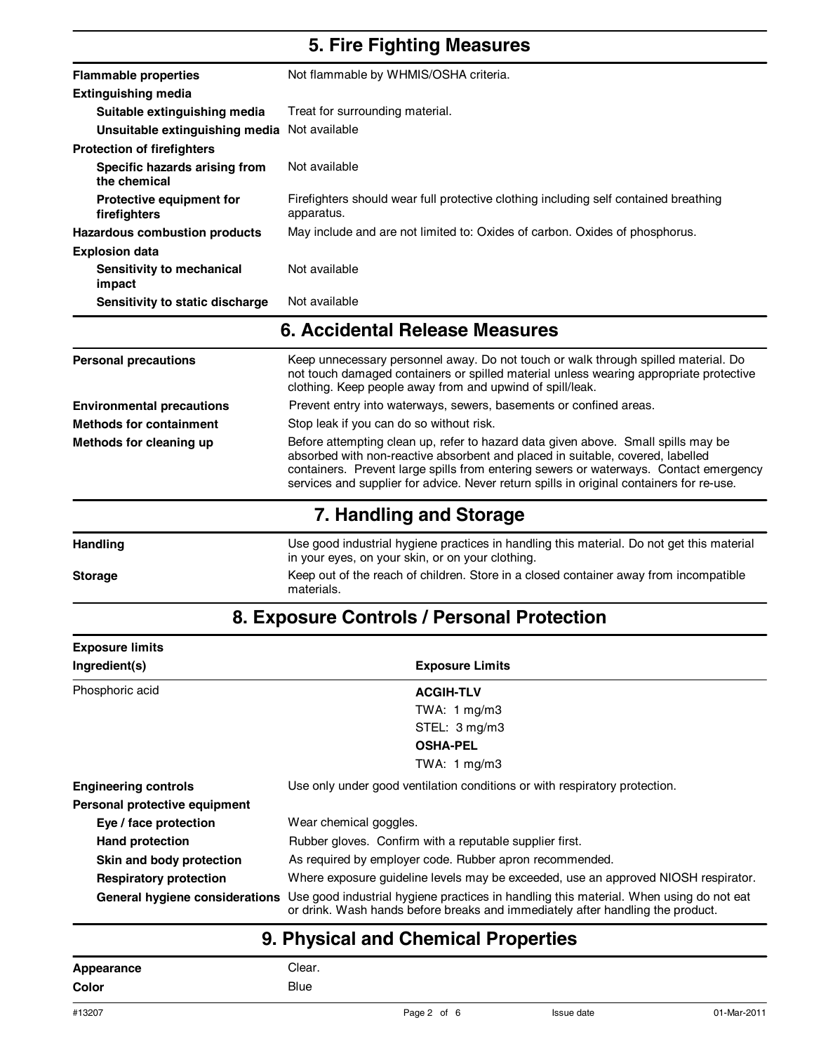## **5. Fire Fighting Measures**

| <b>Flammable properties</b>                     | Not flammable by WHMIS/OSHA criteria.                                                              |
|-------------------------------------------------|----------------------------------------------------------------------------------------------------|
| <b>Extinguishing media</b>                      |                                                                                                    |
| Suitable extinguishing media                    | Treat for surrounding material.                                                                    |
| Unsuitable extinguishing media Not available    |                                                                                                    |
| <b>Protection of firefighters</b>               |                                                                                                    |
| Specific hazards arising from<br>the chemical   | Not available                                                                                      |
| <b>Protective equipment for</b><br>firefighters | Firefighters should wear full protective clothing including self contained breathing<br>apparatus. |
| Hazardous combustion products                   | May include and are not limited to: Oxides of carbon. Oxides of phosphorus.                        |
| <b>Explosion data</b>                           |                                                                                                    |
| Sensitivity to mechanical<br>impact             | Not available                                                                                      |
| Sensitivity to static discharge                 | Not available                                                                                      |

## **6. Accidental Release Measures**

| <b>Personal precautions</b>      | Keep unnecessary personnel away. Do not touch or walk through spilled material. Do<br>not touch damaged containers or spilled material unless wearing appropriate protective<br>clothing. Keep people away from and upwind of spill/leak.                                                                                                                |
|----------------------------------|----------------------------------------------------------------------------------------------------------------------------------------------------------------------------------------------------------------------------------------------------------------------------------------------------------------------------------------------------------|
| <b>Environmental precautions</b> | Prevent entry into waterways, sewers, basements or confined areas.                                                                                                                                                                                                                                                                                       |
| <b>Methods for containment</b>   | Stop leak if you can do so without risk.                                                                                                                                                                                                                                                                                                                 |
| Methods for cleaning up          | Before attempting clean up, refer to hazard data given above. Small spills may be<br>absorbed with non-reactive absorbent and placed in suitable, covered, labelled<br>containers. Prevent large spills from entering sewers or waterways. Contact emergency<br>services and supplier for advice. Never return spills in original containers for re-use. |
|                                  | 7. Handling and Storage                                                                                                                                                                                                                                                                                                                                  |

**Handling** Use good industrial hygiene practices in handling this material. Do not get this material in your eyes, on your skin, or on your clothing. Storage **Keep out of the reach of children.** Store in a closed container away from incompatible materials.

### **8. Exposure Controls / Personal Protection**

| <b>Exposure limits</b>        |                                                                                                                                                                                                         |
|-------------------------------|---------------------------------------------------------------------------------------------------------------------------------------------------------------------------------------------------------|
| Ingredient(s)                 | <b>Exposure Limits</b>                                                                                                                                                                                  |
| Phosphoric acid               | <b>ACGIH-TLV</b>                                                                                                                                                                                        |
|                               | TWA: $1 \text{ mg/m}$ 3                                                                                                                                                                                 |
|                               | STEL: 3 mg/m3                                                                                                                                                                                           |
|                               | <b>OSHA-PEL</b>                                                                                                                                                                                         |
|                               | TWA: $1 \text{ mg/m}$ 3                                                                                                                                                                                 |
| <b>Engineering controls</b>   | Use only under good ventilation conditions or with respiratory protection.                                                                                                                              |
| Personal protective equipment |                                                                                                                                                                                                         |
| Eye / face protection         | Wear chemical goggles.                                                                                                                                                                                  |
| Hand protection               | Rubber gloves. Confirm with a reputable supplier first.                                                                                                                                                 |
| Skin and body protection      | As required by employer code. Rubber apron recommended.                                                                                                                                                 |
| <b>Respiratory protection</b> | Where exposure quideline levels may be exceeded, use an approved NIOSH respirator.                                                                                                                      |
|                               | General hygiene considerations Use good industrial hygiene practices in handling this material. When using do not eat<br>or drink. Wash hands before breaks and immediately after handling the product. |

# **9. Physical and Chemical Properties**

| Appearance | Clear.      |
|------------|-------------|
| Color      | <b>Blue</b> |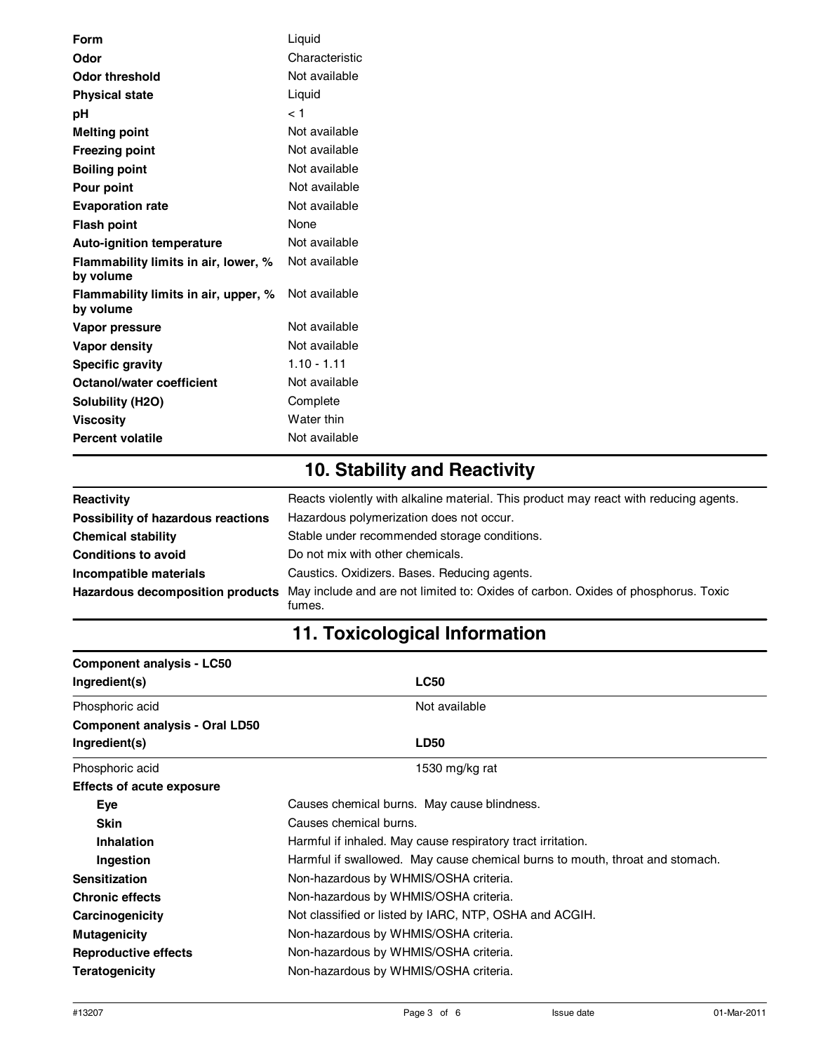| Liquid         |
|----------------|
| Characteristic |
| Not available  |
| Liquid         |
| < 1            |
| Not available  |
| Not available  |
| Not available  |
| Not available  |
| Not available  |
| None           |
| Not available  |
| Not available  |
| Not available  |
| Not available  |
| Not available  |
| $1.10 - 1.11$  |
| Not available  |
| Complete       |
| Water thin     |
| Not available  |
|                |

# **10. Stability and Reactivity**

| Reactivity                         | Reacts violently with alkaline material. This product may react with reducing agents.       |
|------------------------------------|---------------------------------------------------------------------------------------------|
| Possibility of hazardous reactions | Hazardous polymerization does not occur.                                                    |
| <b>Chemical stability</b>          | Stable under recommended storage conditions.                                                |
| <b>Conditions to avoid</b>         | Do not mix with other chemicals.                                                            |
| Incompatible materials             | Caustics. Oxidizers. Bases. Reducing agents.                                                |
| Hazardous decomposition products   | May include and are not limited to: Oxides of carbon. Oxides of phosphorus. Toxic<br>fumes. |

# **11. Toxicological Information**

| <b>Component analysis - LC50</b>      |                                                                              |
|---------------------------------------|------------------------------------------------------------------------------|
| Ingredient(s)                         | <b>LC50</b>                                                                  |
| Phosphoric acid                       | Not available                                                                |
| <b>Component analysis - Oral LD50</b> |                                                                              |
| Ingredient(s)                         | <b>LD50</b>                                                                  |
| Phosphoric acid                       | 1530 mg/kg rat                                                               |
| <b>Effects of acute exposure</b>      |                                                                              |
| Eye                                   | Causes chemical burns. May cause blindness.                                  |
| <b>Skin</b>                           | Causes chemical burns.                                                       |
| Inhalation                            | Harmful if inhaled. May cause respiratory tract irritation.                  |
| Ingestion                             | Harmful if swallowed. May cause chemical burns to mouth, throat and stomach. |
| <b>Sensitization</b>                  | Non-hazardous by WHMIS/OSHA criteria.                                        |
| <b>Chronic effects</b>                | Non-hazardous by WHMIS/OSHA criteria.                                        |
| Carcinogenicity                       | Not classified or listed by IARC, NTP, OSHA and ACGIH.                       |
| <b>Mutagenicity</b>                   | Non-hazardous by WHMIS/OSHA criteria.                                        |
| <b>Reproductive effects</b>           | Non-hazardous by WHMIS/OSHA criteria.                                        |
| <b>Teratogenicity</b>                 | Non-hazardous by WHMIS/OSHA criteria.                                        |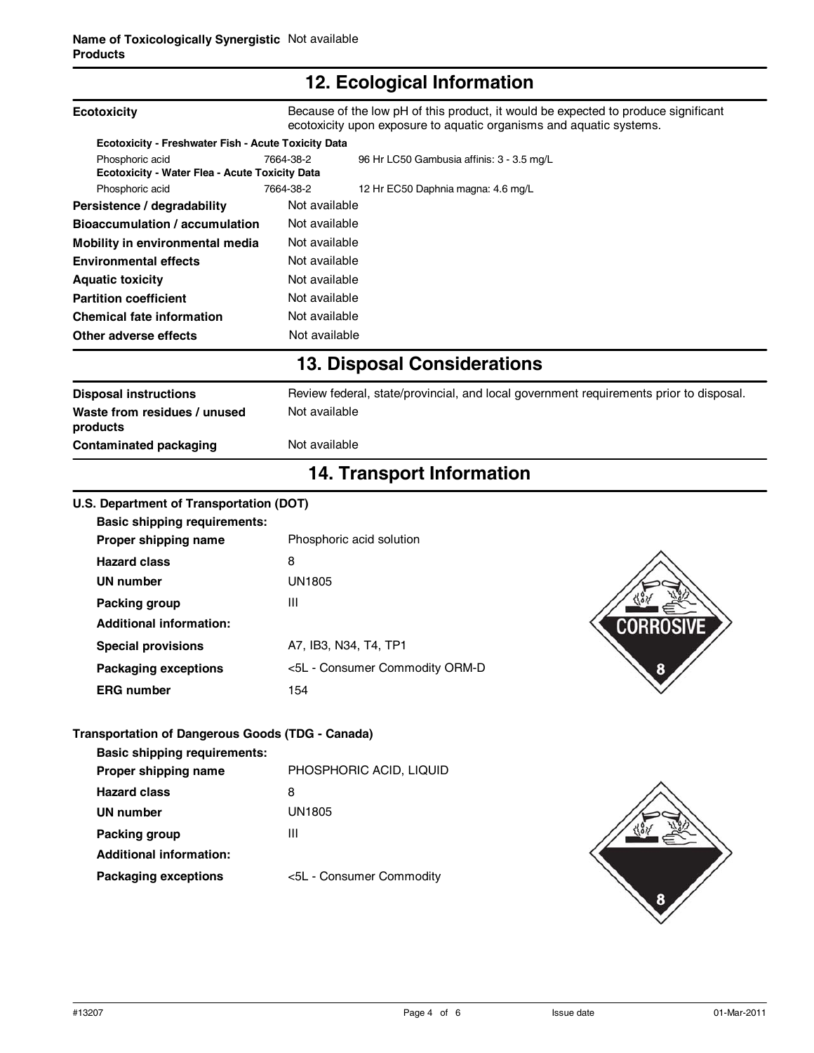## **12. Ecological Information**

|                                                                                         | $\mathbf{r}$ . Loological monimation                                                                                                                      |  |
|-----------------------------------------------------------------------------------------|-----------------------------------------------------------------------------------------------------------------------------------------------------------|--|
| <b>Ecotoxicity</b>                                                                      | Because of the low pH of this product, it would be expected to produce significant<br>ecotoxicity upon exposure to aquatic organisms and aquatic systems. |  |
| Ecotoxicity - Freshwater Fish - Acute Toxicity Data                                     |                                                                                                                                                           |  |
| Phosphoric acid<br>Ecotoxicity - Water Flea - Acute Toxicity Data                       | 7664-38-2<br>96 Hr LC50 Gambusia affinis: 3 - 3.5 mg/L                                                                                                    |  |
| Phosphoric acid                                                                         | 7664-38-2<br>12 Hr EC50 Daphnia magna: 4.6 mg/L                                                                                                           |  |
| Persistence / degradability                                                             | Not available                                                                                                                                             |  |
| <b>Bioaccumulation / accumulation</b>                                                   | Not available                                                                                                                                             |  |
| Mobility in environmental media                                                         | Not available                                                                                                                                             |  |
| <b>Environmental effects</b>                                                            | Not available                                                                                                                                             |  |
| <b>Aquatic toxicity</b>                                                                 | Not available                                                                                                                                             |  |
| <b>Partition coefficient</b>                                                            | Not available                                                                                                                                             |  |
| <b>Chemical fate information</b>                                                        | Not available                                                                                                                                             |  |
| Other adverse effects                                                                   | Not available                                                                                                                                             |  |
|                                                                                         | <b>13. Disposal Considerations</b>                                                                                                                        |  |
| <b>Disposal instructions</b>                                                            | Review federal, state/provincial, and local government requirements prior to disposal.                                                                    |  |
| Waste from residues / unused<br>products                                                | Not available                                                                                                                                             |  |
| <b>Contaminated packaging</b>                                                           | Not available                                                                                                                                             |  |
|                                                                                         | <b>14. Transport Information</b>                                                                                                                          |  |
| U.S. Department of Transportation (DOT)                                                 |                                                                                                                                                           |  |
| <b>Basic shipping requirements:</b>                                                     |                                                                                                                                                           |  |
| Proper shipping name                                                                    | Phosphoric acid solution                                                                                                                                  |  |
| <b>Hazard class</b>                                                                     | 8                                                                                                                                                         |  |
| <b>UN number</b>                                                                        | <b>UN1805</b>                                                                                                                                             |  |
| Packing group                                                                           | Ш                                                                                                                                                         |  |
| <b>Additional information:</b>                                                          | CORROSIVE                                                                                                                                                 |  |
| <b>Special provisions</b>                                                               | A7, IB3, N34, T4, TP1                                                                                                                                     |  |
|                                                                                         |                                                                                                                                                           |  |
| <b>Packaging exceptions</b>                                                             | <5L - Consumer Commodity ORM-D<br>8                                                                                                                       |  |
| <b>ERG</b> number                                                                       | 154                                                                                                                                                       |  |
| Transportation of Dangerous Goods (TDG - Canada)<br><b>Basic shipping requirements:</b> |                                                                                                                                                           |  |
| Proper shipping name                                                                    | PHOSPHORIC ACID, LIQUID                                                                                                                                   |  |
| <b>Hazard class</b>                                                                     | 8                                                                                                                                                         |  |
| <b>UN number</b>                                                                        | <b>UN1805</b>                                                                                                                                             |  |
| Packing group                                                                           | Ш                                                                                                                                                         |  |
| <b>Additional information:</b>                                                          |                                                                                                                                                           |  |
|                                                                                         |                                                                                                                                                           |  |
| <b>Packaging exceptions</b>                                                             | <5L - Consumer Commodity                                                                                                                                  |  |
|                                                                                         |                                                                                                                                                           |  |
|                                                                                         |                                                                                                                                                           |  |
|                                                                                         |                                                                                                                                                           |  |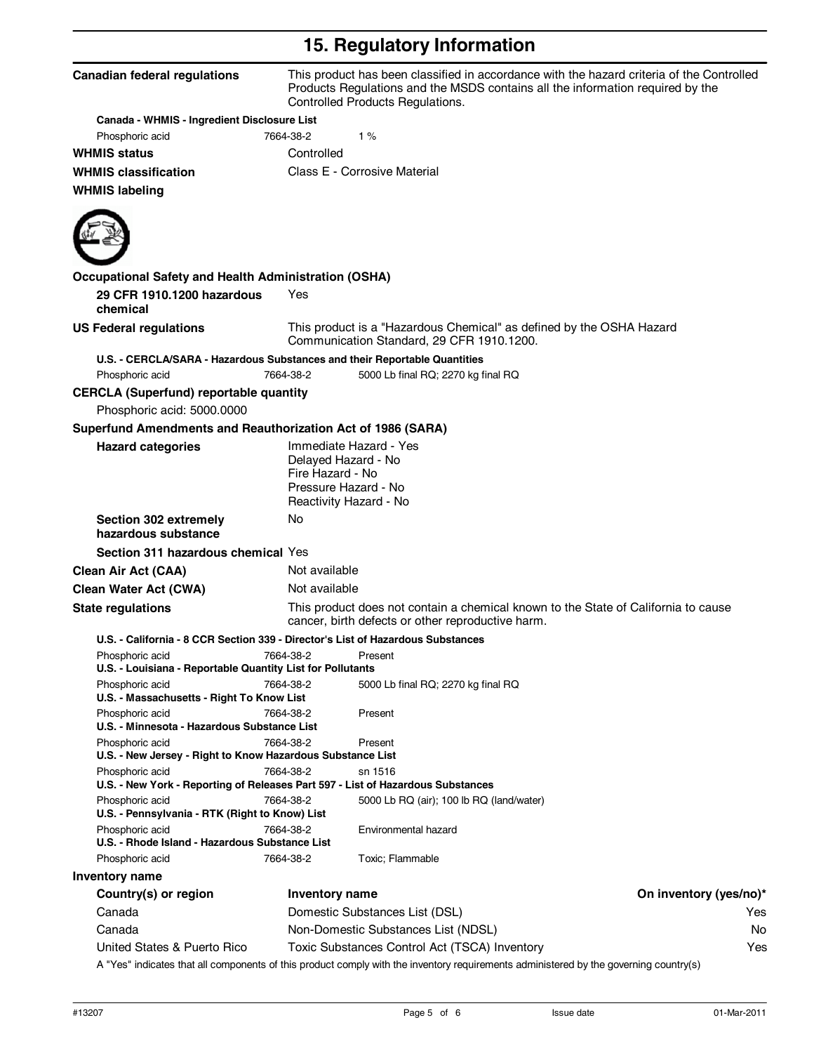# **15. Regulatory Information**

| <b>Canadian federal regulations</b>                          | This product has been classified in accordance with the hazard criteria of the Controlled<br>Products Regulations and the MSDS contains all the information required by the<br>Controlled Products Regulations. |
|--------------------------------------------------------------|-----------------------------------------------------------------------------------------------------------------------------------------------------------------------------------------------------------------|
| Canada - WHMIS - Ingredient Disclosure List                  |                                                                                                                                                                                                                 |
| Phosphoric acid                                              | 1%<br>7664-38-2                                                                                                                                                                                                 |
| <b>WHMIS status</b>                                          | Controlled                                                                                                                                                                                                      |
| <b>WHMIS classification</b>                                  | Class E - Corrosive Material                                                                                                                                                                                    |
| <b>WHMIS labeling</b>                                        |                                                                                                                                                                                                                 |
|                                                              |                                                                                                                                                                                                                 |
| <b>Occupational Safety and Health Administration (OSHA)</b>  |                                                                                                                                                                                                                 |
| 29 CFR 1910.1200 hazardous<br>chemical                       | Yes                                                                                                                                                                                                             |
| <b>US Federal regulations</b>                                | This product is a "Hazardous Chemical" as defined by the OSHA Hazard<br>Communication Standard, 29 CFR 1910.1200.                                                                                               |
|                                                              | U.S. - CERCLA/SARA - Hazardous Substances and their Reportable Quantities                                                                                                                                       |
| Phosphoric acid                                              | 5000 Lb final RQ; 2270 kg final RQ<br>7664-38-2                                                                                                                                                                 |
| <b>CERCLA (Superfund) reportable quantity</b>                |                                                                                                                                                                                                                 |
| Phosphoric acid: 5000.0000                                   |                                                                                                                                                                                                                 |
| Superfund Amendments and Reauthorization Act of 1986 (SARA)  |                                                                                                                                                                                                                 |
| <b>Hazard categories</b>                                     | Immediate Hazard - Yes<br>Delayed Hazard - No<br>Fire Hazard - No<br>Pressure Hazard - No<br>Reactivity Hazard - No                                                                                             |
| Section 302 extremely<br>hazardous substance                 | No                                                                                                                                                                                                              |
| Section 311 hazardous chemical Yes                           |                                                                                                                                                                                                                 |
| <b>Clean Air Act (CAA)</b>                                   | Not available                                                                                                                                                                                                   |
| <b>Clean Water Act (CWA)</b>                                 | Not available                                                                                                                                                                                                   |
| <b>State regulations</b>                                     | This product does not contain a chemical known to the State of California to cause<br>cancer, birth defects or other reproductive harm.                                                                         |
|                                                              | U.S. - California - 8 CCR Section 339 - Director's List of Hazardous Substances                                                                                                                                 |
| Phosphoric acid                                              | 7664-38-2<br>Present                                                                                                                                                                                            |
| U.S. - Louisiana - Reportable Quantity List for Pollutants   |                                                                                                                                                                                                                 |
| Phosphoric acid<br>U.S. - Massachusetts - Right To Know List | 7664-38-2<br>5000 Lb final RQ; 2270 kg final RQ                                                                                                                                                                 |
| Phosphoric acid                                              | 7664-38-2<br>Present                                                                                                                                                                                            |
| U.S. - Minnesota - Hazardous Substance List                  |                                                                                                                                                                                                                 |
| Phosphoric acid                                              | 7664-38-2<br>Present                                                                                                                                                                                            |
| U.S. - New Jersey - Right to Know Hazardous Substance List   |                                                                                                                                                                                                                 |
| Phosphoric acid                                              | 7664-38-2<br>sn 1516<br>U.S. - New York - Reporting of Releases Part 597 - List of Hazardous Substances                                                                                                         |
| Phosphoric acid                                              | 7664-38-2<br>5000 Lb RQ (air); 100 lb RQ (land/water)                                                                                                                                                           |
| U.S. - Pennsylvania - RTK (Right to Know) List               |                                                                                                                                                                                                                 |
| Phosphoric acid                                              | 7664-38-2<br>Environmental hazard                                                                                                                                                                               |
| U.S. - Rhode Island - Hazardous Substance List               |                                                                                                                                                                                                                 |
| Phosphoric acid                                              | 7664-38-2<br>Toxic; Flammable                                                                                                                                                                                   |
| Inventory name                                               |                                                                                                                                                                                                                 |
| Country(s) or region                                         | On inventory (yes/no)*<br>Inventory name                                                                                                                                                                        |
| Canada                                                       | Domestic Substances List (DSL)<br>Yes                                                                                                                                                                           |
| Canada                                                       | Non-Domestic Substances List (NDSL)                                                                                                                                                                             |
| United States & Puerto Rico                                  | Toxic Substances Control Act (TSCA) Inventory<br>Yes<br>A "Yes" indicates that all components of this product comply with the inventory requirements administered by the governing country(s)                   |